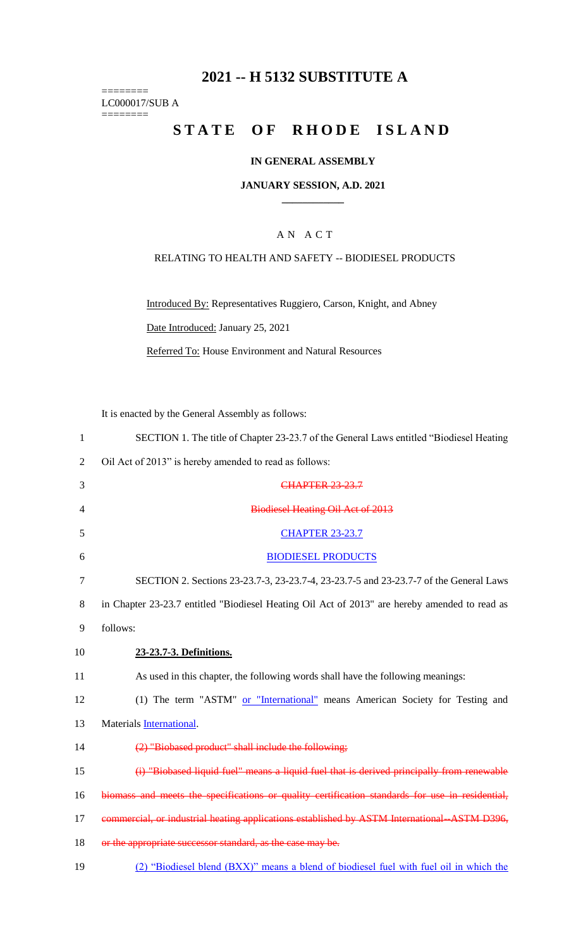## **2021 -- H 5132 SUBSTITUTE A**

======== LC000017/SUB A ========

# **STATE OF RHODE ISLAND**

## **IN GENERAL ASSEMBLY**

### **JANUARY SESSION, A.D. 2021 \_\_\_\_\_\_\_\_\_\_\_\_**

## A N A C T

## RELATING TO HEALTH AND SAFETY -- BIODIESEL PRODUCTS

Introduced By: Representatives Ruggiero, Carson, Knight, and Abney Date Introduced: January 25, 2021

Referred To: House Environment and Natural Resources

It is enacted by the General Assembly as follows:

| $\mathbf{1}$ | SECTION 1. The title of Chapter 23-23.7 of the General Laws entitled "Biodiesel Heating         |
|--------------|-------------------------------------------------------------------------------------------------|
| 2            | Oil Act of 2013" is hereby amended to read as follows:                                          |
| 3            | <b>CHAPTER 23-23.7</b>                                                                          |
| 4            | <b>Biodiesel Heating Oil Act of 2013</b>                                                        |
| 5            | <b>CHAPTER 23-23.7</b>                                                                          |
| 6            | <b>BIODIESEL PRODUCTS</b>                                                                       |
| 7            | SECTION 2. Sections 23-23.7-3, 23-23.7-4, 23-23.7-5 and 23-23.7-7 of the General Laws           |
| 8            | in Chapter 23-23.7 entitled "Biodiesel Heating Oil Act of 2013" are hereby amended to read as   |
| 9            | follows:                                                                                        |
| 10           | 23-23.7-3. Definitions.                                                                         |
| 11           | As used in this chapter, the following words shall have the following meanings:                 |
| 12           | (1) The term "ASTM" or "International" means American Society for Testing and                   |
| 13           | Materials International.                                                                        |
| 14           | (2) "Biobased product" shall include the following;                                             |
| 15           | (i) "Biobased liquid fuel" means a liquid fuel that is derived principally from renewable       |
| 16           | biomass and meets the specifications or quality certification standards for use in residential, |
| 17           | commercial, or industrial heating applications established by ASTM International ASTM D396,     |
| 18           | or the appropriate successor standard, as the case may be.                                      |
| 19           | (2) "Biodiesel blend (BXX)" means a blend of biodiesel fuel with fuel oil in which the          |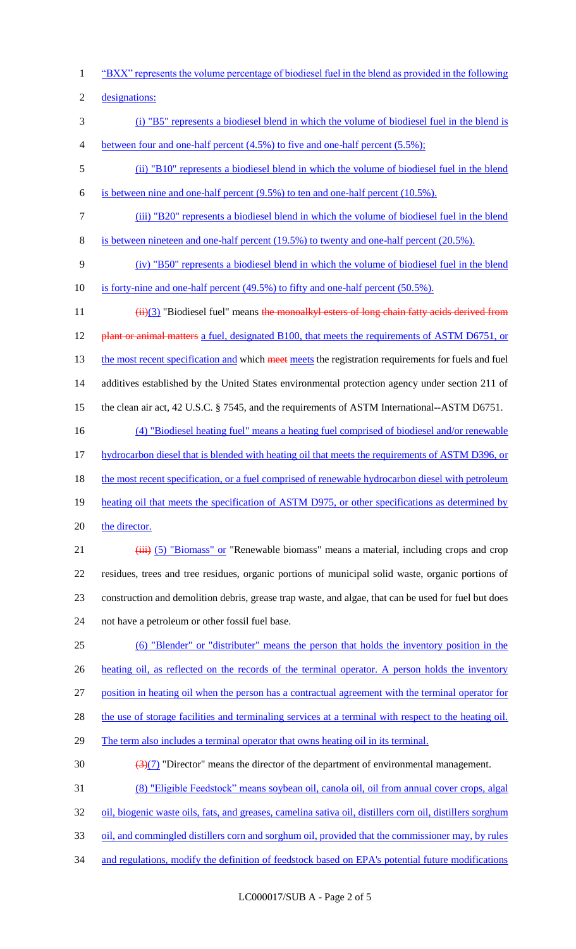1 "BXX" represents the volume percentage of biodiesel fuel in the blend as provided in the following

2 designations:

- 3 (i) "B5" represents a biodiesel blend in which the volume of biodiesel fuel in the blend is 4 between four and one-half percent (4.5%) to five and one-half percent (5.5%);
- 5 (ii) "B10" represents a biodiesel blend in which the volume of biodiesel fuel in the blend 6 is between nine and one-half percent (9.5%) to ten and one-half percent (10.5%).
- 
- 7 (iii) "B20" represents a biodiesel blend in which the volume of biodiesel fuel in the blend
- 8 is between nineteen and one-half percent (19.5%) to twenty and one-half percent (20.5%).
- 9 (iv) "B50" represents a biodiesel blend in which the volume of biodiesel fuel in the blend
- 10 is forty-nine and one-half percent (49.5%) to fifty and one-half percent (50.5%).

11 (ii)(3) "Biodiesel fuel" means the monoalkyl esters of long chain fatty acids derived from 12 plant or animal matters a fuel, designated B100, that meets the requirements of ASTM D6751, or 13 the most recent specification and which meet meets the registration requirements for fuels and fuel 14 additives established by the United States environmental protection agency under section 211 of 15 the clean air act, 42 U.S.C. § 7545, and the requirements of ASTM International--ASTM D6751.

- 16 (4) "Biodiesel heating fuel" means a heating fuel comprised of biodiesel and/or renewable
- 17 hydrocarbon diesel that is blended with heating oil that meets the requirements of ASTM D396, or
- 18 the most recent specification, or a fuel comprised of renewable hydrocarbon diesel with petroleum
- 19 heating oil that meets the specification of ASTM D975, or other specifications as determined by
- 20 the director.
- 21 (iii) (5) "Biomass" or "Renewable biomass" means a material, including crops and crop 22 residues, trees and tree residues, organic portions of municipal solid waste, organic portions of 23 construction and demolition debris, grease trap waste, and algae, that can be used for fuel but does 24 not have a petroleum or other fossil fuel base.
- 25 (6) "Blender" or "distributer" means the person that holds the inventory position in the 26 heating oil, as reflected on the records of the terminal operator. A person holds the inventory
- 27 position in heating oil when the person has a contractual agreement with the terminal operator for
- 28 the use of storage facilities and terminaling services at a terminal with respect to the heating oil.
- 29 The term also includes a terminal operator that owns heating oil in its terminal.
- 30  $\left(\frac{3(7)}{2}\right)$  "Director" means the director of the department of environmental management.
- 31 (8) "Eligible Feedstock" means soybean oil, canola oil, oil from annual cover crops, algal
- 32 oil, biogenic waste oils, fats, and greases, camelina sativa oil, distillers corn oil, distillers sorghum
- 33 oil, and commingled distillers corn and sorghum oil, provided that the commissioner may, by rules
- 34 and regulations, modify the definition of feedstock based on EPA's potential future modifications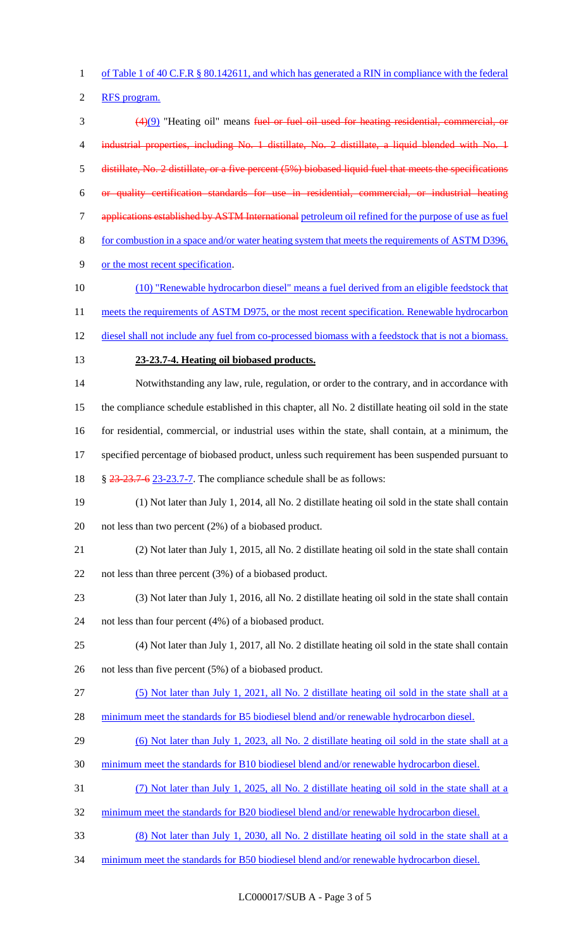of Table 1 of 40 C.F.R § 80.142611, and which has generated a RIN in compliance with the federal

RFS program.

 (4)(9) "Heating oil" means fuel or fuel oil used for heating residential, commercial, or 4 industrial properties, including No. 1 distillate, No. 2 distillate, a liquid blended with No. 1 distillate, No. 2 distillate, or a five percent (5%) biobased liquid fuel that meets the specifications or quality certification standards for use in residential, commercial, or industrial heating applications established by ASTM International petroleum oil refined for the purpose of use as fuel for combustion in a space and/or water heating system that meets the requirements of ASTM D396, or the most recent specification. (10) "Renewable hydrocarbon diesel" means a fuel derived from an eligible feedstock that 11 meets the requirements of ASTM D975, or the most recent specification. Renewable hydrocarbon 12 diesel shall not include any fuel from co-processed biomass with a feedstock that is not a biomass. **23-23.7-4. Heating oil biobased products.** Notwithstanding any law, rule, regulation, or order to the contrary, and in accordance with the compliance schedule established in this chapter, all No. 2 distillate heating oil sold in the state for residential, commercial, or industrial uses within the state, shall contain, at a minimum, the 17 specified percentage of biobased product, unless such requirement has been suspended pursuant to § 23-23.7-6 23-23.7-7. The compliance schedule shall be as follows: (1) Not later than July 1, 2014, all No. 2 distillate heating oil sold in the state shall contain not less than two percent (2%) of a biobased product. (2) Not later than July 1, 2015, all No. 2 distillate heating oil sold in the state shall contain not less than three percent (3%) of a biobased product. (3) Not later than July 1, 2016, all No. 2 distillate heating oil sold in the state shall contain not less than four percent (4%) of a biobased product. (4) Not later than July 1, 2017, all No. 2 distillate heating oil sold in the state shall contain not less than five percent (5%) of a biobased product. (5) Not later than July 1, 2021, all No. 2 distillate heating oil sold in the state shall at a 28 minimum meet the standards for B5 biodiesel blend and/or renewable hydrocarbon diesel. (6) Not later than July 1, 2023, all No. 2 distillate heating oil sold in the state shall at a minimum meet the standards for B10 biodiesel blend and/or renewable hydrocarbon diesel. (7) Not later than July 1, 2025, all No. 2 distillate heating oil sold in the state shall at a 32 minimum meet the standards for B20 biodiesel blend and/or renewable hydrocarbon diesel. (8) Not later than July 1, 2030, all No. 2 distillate heating oil sold in the state shall at a 34 minimum meet the standards for B50 biodiesel blend and/or renewable hydrocarbon diesel.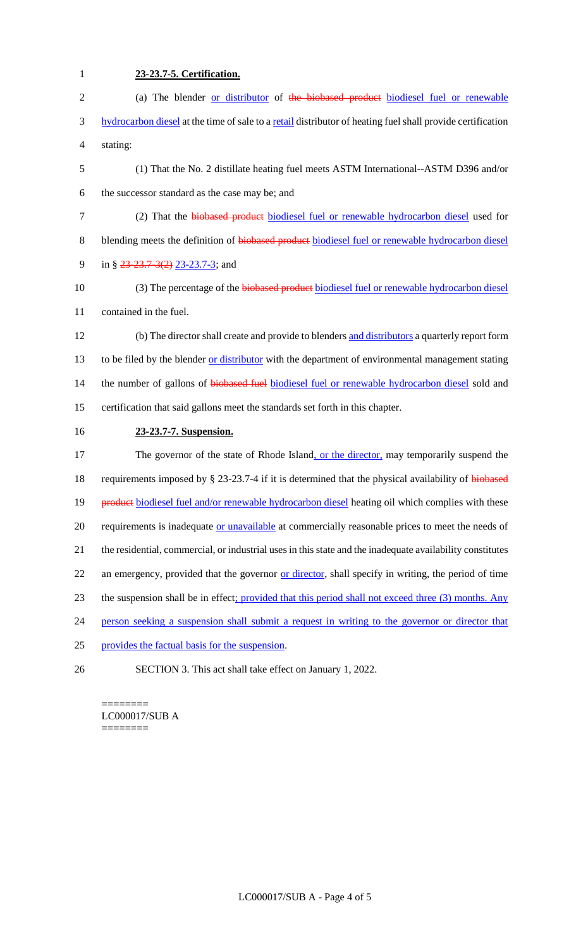| $\mathbf{1}$   | 23-23.7-5. Certification.                                                                                  |
|----------------|------------------------------------------------------------------------------------------------------------|
| $\overline{c}$ | (a) The blender or distributor of the biobased product biodiesel fuel or renewable                         |
| 3              | hydrocarbon diesel at the time of sale to a retail distributor of heating fuel shall provide certification |
| 4              | stating:                                                                                                   |
| 5              | (1) That the No. 2 distillate heating fuel meets ASTM International--ASTM D396 and/or                      |
| 6              | the successor standard as the case may be; and                                                             |
| $\tau$         | (2) That the biobased product biodiesel fuel or renewable hydrocarbon diesel used for                      |
| $8\,$          | blending meets the definition of biobased product biodiesel fuel or renewable hydrocarbon diesel           |
| 9              | in § $23-23.7-3(2)$ 23-23.7-3; and                                                                         |
| 10             | (3) The percentage of the biobased product biodiesel fuel or renewable hydrocarbon diesel                  |
| 11             | contained in the fuel.                                                                                     |
| 12             | (b) The director shall create and provide to blenders and distributors a quarterly report form             |
| 13             | to be filed by the blender or distributor with the department of environmental management stating          |
| 14             | the number of gallons of biobased fuel biodiesel fuel or renewable hydrocarbon diesel sold and             |
| 15             | certification that said gallons meet the standards set forth in this chapter.                              |
| 16             | 23-23.7-7. Suspension.                                                                                     |
| 17             | The governor of the state of Rhode Island, or the director, may temporarily suspend the                    |
| 18             | requirements imposed by § 23-23.7-4 if it is determined that the physical availability of biobased         |
| 19             | product biodiesel fuel and/or renewable hydrocarbon diesel heating oil which complies with these           |
| 20             | requirements is inadequate or unavailable at commercially reasonable prices to meet the needs of           |
| 21             | the residential, commercial, or industrial uses in this state and the inadequate availability constitutes  |
| 22             | an emergency, provided that the governor or director, shall specify in writing, the period of time         |
| 23             | the suspension shall be in effect; provided that this period shall not exceed three (3) months. Any        |
| 24             | person seeking a suspension shall submit a request in writing to the governor or director that             |
| 25             | provides the factual basis for the suspension.                                                             |
| 26             | SECTION 3. This act shall take effect on January 1, 2022.                                                  |

======== LC000017/SUB A ========